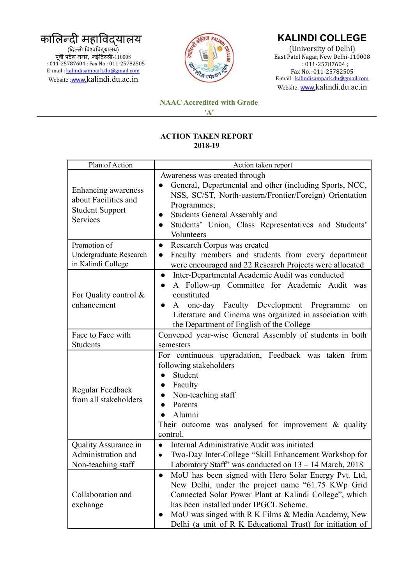## कालिन्दी महाविद्यालय (दिल्ली विश्वविद्यालय) पूर्वी पटेल नगर, नईदिल्ली-110008 : 011-25787604 ; Fax No.: 011-25782505 E-mail : [kalindisampark.du@gmail.com](mailto:kalindisampark.du@gmail.com)

Website :[www.](http://www.)kalindi.du.ac.in



## **KALINDI COLLEGE**

(University of Delhi) East Patel Nagar, New Delhi-110008 : 011-25787604 ; Fax No.: 011-25782505 E-mail : [kalindisampark.du@gmail.com](mailto:kalindisampark.du@gmail.com) Website: [www.](http://www.)kalindi.du.ac.in

## **NAAC Accredited with Grade**

**'A'**

## **ACTION TAKEN REPORT 2018-19**

| Plan of Action                                                                    | Action taken report                                                                                                                                                                                                                                                                                                                            |
|-----------------------------------------------------------------------------------|------------------------------------------------------------------------------------------------------------------------------------------------------------------------------------------------------------------------------------------------------------------------------------------------------------------------------------------------|
| Enhancing awareness<br>about Facilities and<br><b>Student Support</b><br>Services | Awareness was created through<br>General, Departmental and other (including Sports, NCC,<br>NSS, SC/ST, North-eastern/Frontier/Foreign) Orientation<br>Programmes;<br><b>Students General Assembly and</b><br>Students' Union, Class Representatives and Students'<br>$\bullet$<br>Volunteers                                                  |
| Promotion of<br><b>Undergraduate Research</b><br>in Kalindi College               | Research Corpus was created<br>$\bullet$<br>Faculty members and students from every department<br>$\bullet$<br>were encouraged and 22 Research Projects were allocated<br>Inter-Departmental Academic Audit was conducted<br>$\bullet$                                                                                                         |
| For Quality control &<br>enhancement                                              | A Follow-up Committee for Academic Audit was<br>$\bullet$<br>constituted<br>A one-day Faculty Development Programme<br>on<br>$\bullet$<br>Literature and Cinema was organized in association with<br>the Department of English of the College                                                                                                  |
| Face to Face with<br>Students                                                     | Convened year-wise General Assembly of students in both<br>semesters                                                                                                                                                                                                                                                                           |
| Regular Feedback<br>from all stakeholders                                         | For continuous upgradation, Feedback was taken from<br>following stakeholders<br>Student<br>$\bullet$<br>Faculty<br>$\bullet$<br>Non-teaching staff<br>$\bullet$<br>Parents<br>Alumni<br>Their outcome was analysed for improvement $\&$ quality<br>control.                                                                                   |
| Quality Assurance in<br>Administration and<br>Non-teaching staff                  | Internal Administrative Audit was initiated<br>$\bullet$<br>Two-Day Inter-College "Skill Enhancement Workshop for<br>$\bullet$<br>Laboratory Staff" was conducted on 13 - 14 March, 2018                                                                                                                                                       |
| Collaboration and<br>exchange                                                     | MoU has been signed with Hero Solar Energy Pvt. Ltd,<br>New Delhi, under the project name "61.75 KWp Grid"<br>Connected Solar Power Plant at Kalindi College", which<br>has been installed under IPGCL Scheme.<br>MoU was singed with R K Films & Media Academy, New<br>$\bullet$<br>Delhi (a unit of R K Educational Trust) for initiation of |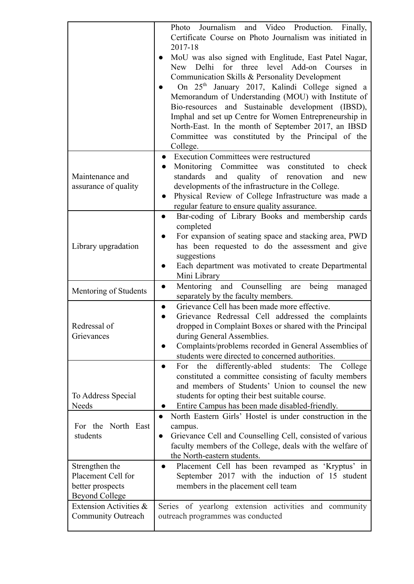|                                                                                   | Journalism and Video Production. Finally,<br>Photo<br>Certificate Course on Photo Journalism was initiated in<br>2017-18<br>MoU was also signed with Englitude, East Patel Nagar,<br>New Delhi for three level Add-on Courses in<br>Communication Skills & Personality Development<br>On 25 <sup>th</sup> January 2017, Kalindi College signed a<br>Memorandum of Understanding (MOU) with Institute of<br>Bio-resources and Sustainable development (IBSD),<br>Imphal and set up Centre for Women Entrepreneurship in<br>North-East. In the month of September 2017, an IBSD<br>Committee was constituted by the Principal of the<br>College. |
|-----------------------------------------------------------------------------------|------------------------------------------------------------------------------------------------------------------------------------------------------------------------------------------------------------------------------------------------------------------------------------------------------------------------------------------------------------------------------------------------------------------------------------------------------------------------------------------------------------------------------------------------------------------------------------------------------------------------------------------------|
| Maintenance and<br>assurance of quality                                           | <b>Execution Committees were restructured</b><br>$\bullet$<br>Monitoring Committee was constituted to<br>check<br>$\bullet$<br>standards<br>quality of renovation<br>and<br>and<br>new<br>developments of the infrastructure in the College.<br>Physical Review of College Infrastructure was made a<br>$\bullet$<br>regular feature to ensure quality assurance.                                                                                                                                                                                                                                                                              |
| Library upgradation                                                               | Bar-coding of Library Books and membership cards<br>$\bullet$<br>completed<br>For expansion of seating space and stacking area, PWD<br>$\bullet$<br>has been requested to do the assessment and give<br>suggestions<br>Each department was motivated to create Departmental<br>$\bullet$<br>Mini Library                                                                                                                                                                                                                                                                                                                                       |
| Mentoring of Students                                                             | Mentoring and Counselling are<br>being managed<br>$\bullet$<br>separately by the faculty members.                                                                                                                                                                                                                                                                                                                                                                                                                                                                                                                                              |
| Redressal of<br>Grievances                                                        | Grievance Cell has been made more effective.<br>$\bullet$<br>Grievance Redressal Cell addressed the complaints<br>$\bullet$<br>dropped in Complaint Boxes or shared with the Principal<br>during General Assemblies.<br>Complaints/problems recorded in General Assemblies of<br>students were directed to concerned authorities.                                                                                                                                                                                                                                                                                                              |
| To Address Special<br>Needs                                                       | For the differently-abled students: The<br>College<br>$\bullet$<br>constituted a committee consisting of faculty members<br>and members of Students' Union to counsel the new<br>students for opting their best suitable course.<br>Entire Campus has been made disabled-friendly.                                                                                                                                                                                                                                                                                                                                                             |
| North East<br>For the<br>students                                                 | North Eastern Girls' Hostel is under construction in the<br>$\bullet$<br>campus.<br>Grievance Cell and Counselling Cell, consisted of various<br>$\bullet$<br>faculty members of the College, deals with the welfare of<br>the North-eastern students.                                                                                                                                                                                                                                                                                                                                                                                         |
| Strengthen the<br>Placement Cell for<br>better prospects<br><b>Beyond College</b> | Placement Cell has been revamped as 'Kryptus' in<br>$\bullet$<br>September 2017 with the induction of 15 student<br>members in the placement cell team                                                                                                                                                                                                                                                                                                                                                                                                                                                                                         |
| Extension Activities &<br><b>Community Outreach</b>                               | Series of yearlong extension activities and community<br>outreach programmes was conducted                                                                                                                                                                                                                                                                                                                                                                                                                                                                                                                                                     |